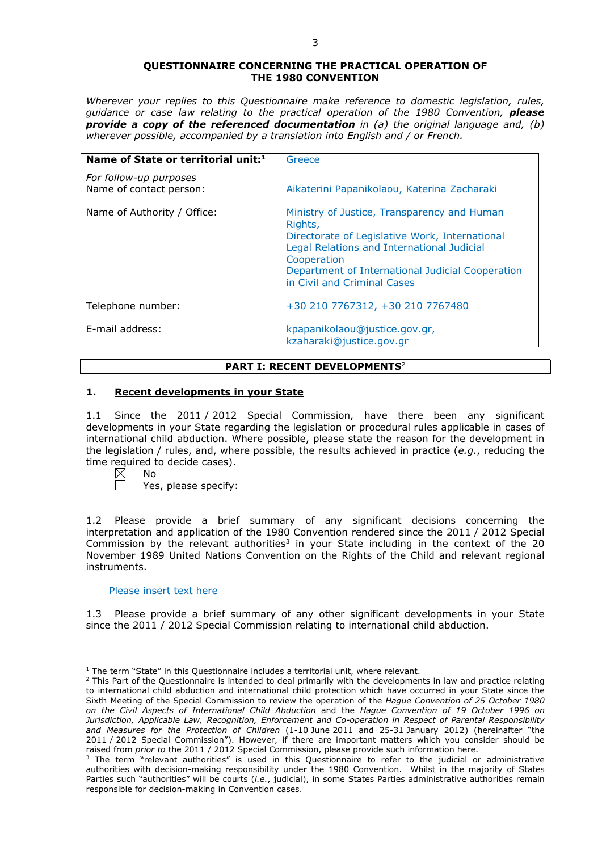#### **QUESTIONNAIRE CONCERNING THE PRACTICAL OPERATION OF THE 1980 CONVENTION**

*Wherever your replies to this Questionnaire make reference to domestic legislation, rules, guidance or case law relating to the practical operation of the 1980 Convention, please provide a copy of the referenced documentation in (a) the original language and, (b) wherever possible, accompanied by a translation into English and / or French.* 

| Name of State or territorial unit: <sup>1</sup>   | Greece                                                                                                                                                                                                                                                   |
|---------------------------------------------------|----------------------------------------------------------------------------------------------------------------------------------------------------------------------------------------------------------------------------------------------------------|
| For follow-up purposes<br>Name of contact person: | Aikaterini Papanikolaou, Katerina Zacharaki                                                                                                                                                                                                              |
| Name of Authority / Office:                       | Ministry of Justice, Transparency and Human<br>Rights,<br>Directorate of Legislative Work, International<br>Legal Relations and International Judicial<br>Cooperation<br>Department of International Judicial Cooperation<br>in Civil and Criminal Cases |
| Telephone number:                                 | +30 210 7767312, +30 210 7767480                                                                                                                                                                                                                         |
| E-mail address:                                   | kpapanikolaou@justice.gov.gr,<br>kzaharaki@justice.gov.gr                                                                                                                                                                                                |

# **PART I: RECENT DEVELOPMENTS**<sup>2</sup>

# **1. Recent developments in your State**

1.1 Since the 2011 / 2012 Special Commission, have there been any significant developments in your State regarding the legislation or procedural rules applicable in cases of international child abduction. Where possible, please state the reason for the development in the legislation / rules, and, where possible, the results achieved in practice (*e.g.*, reducing the time required to decide cases).

<u>.</u>

Yes, please specify:

1.2 Please provide a brief summary of any significant decisions concerning the interpretation and application of the 1980 Convention rendered since the 2011 / 2012 Special Commission by the relevant authorities<sup>3</sup> in your State including in the context of the 20 November 1989 United Nations Convention on the Rights of the Child and relevant regional instruments.

#### Please insert text here

1.3 Please provide a brief summary of any other significant developments in your State since the 2011 / 2012 Special Commission relating to international child abduction.

 $\boxtimes$ No

<sup>&</sup>lt;sup>1</sup> The term "State" in this Questionnaire includes a territorial unit, where relevant.

 $<sup>2</sup>$  This Part of the Questionnaire is intended to deal primarily with the developments in law and practice relating</sup> to international child abduction and international child protection which have occurred in your State since the Sixth Meeting of the Special Commission to review the operation of the *Hague Convention of 25 October 1980 on the Civil Aspects of International Child Abduction* and the *Hague Convention of 19 October 1996 on Jurisdiction, Applicable Law, Recognition, Enforcement and Co-operation in Respect of Parental Responsibility and Measures for the Protection of Children* (1-10 June 2011 and 25-31 January 2012) (hereinafter "the 2011 / 2012 Special Commission"). However, if there are important matters which you consider should be raised from *prior to* the 2011 / 2012 Special Commission, please provide such information here.

 $3$  The term "relevant authorities" is used in this Questionnaire to refer to the judicial or administrative authorities with decision-making responsibility under the 1980 Convention. Whilst in the majority of States Parties such "authorities" will be courts (*i.e.*, judicial), in some States Parties administrative authorities remain responsible for decision-making in Convention cases.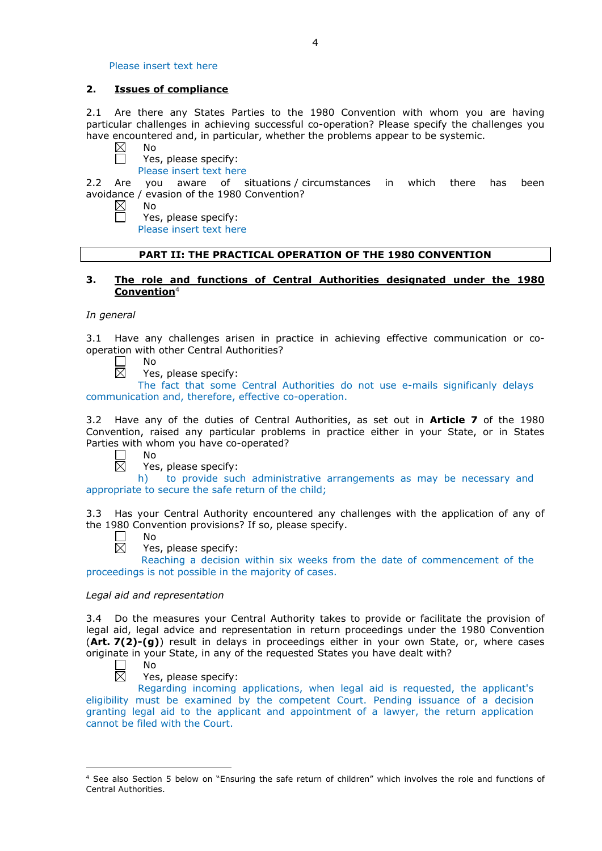Please insert text here

### **2. Issues of compliance**

2.1 Are there any States Parties to the 1980 Convention with whom you are having particular challenges in achieving successful co-operation? Please specify the challenges you have encountered and, in particular, whether the problems appear to be systemic.

- $\boxtimes$ No  $\Box$ 
	- Yes, please specify:
	- Please insert text here

2.2 Are you aware of situations / circumstances in which there has been avoidance / evasion of the 1980 Convention?

- $\boxtimes$ No  $\Box$ 
	- Yes, please specify:

Please insert text here

# **PART II: THE PRACTICAL OPERATION OF THE 1980 CONVENTION**

# **3. The role and functions of Central Authorities designated under the 1980 Convention**<sup>4</sup>

### *In general*

3.1 Have any challenges arisen in practice in achieving effective communication or cooperation with other Central Authorities?

П No 岗

Yes, please specify:

The fact that some Central Authorities do not use e-mails significanly delays communication and, therefore, effective co-operation.

3.2 Have any of the duties of Central Authorities, as set out in **Article 7** of the 1980 Convention, raised any particular problems in practice either in your State, or in States Parties with whom you have co-operated?

 $\Box$ No 岗

Yes, please specify:

h) to provide such administrative arrangements as may be necessary and appropriate to secure the safe return of the child;

3.3 Has your Central Authority encountered any challenges with the application of any of the 1980 Convention provisions? If so, please specify.

П No  $\boxtimes$ 

Yes, please specify:

Reaching a decision within six weeks from the date of commencement of the proceedings is not possible in the majority of cases.

### *Legal aid and representation*

3.4 Do the measures your Central Authority takes to provide or facilitate the provision of legal aid, legal advice and representation in return proceedings under the 1980 Convention (**Art. 7(2)-(g)**) result in delays in proceedings either in your own State, or, where cases originate in your State, in any of the requested States you have dealt with?<br>  $\Box$  No<br>  $\boxtimes$  Yes, please specify:

No

-

Yes, please specify:

Regarding incoming applications, when legal aid is requested, the applicant's eligibility must be examined by the competent Court. Pending issuance of a decision granting legal aid to the applicant and appointment of a lawyer, the return application cannot be filed with the Court.

<sup>4</sup> See also Section 5 below on "Ensuring the safe return of children" which involves the role and functions of Central Authorities.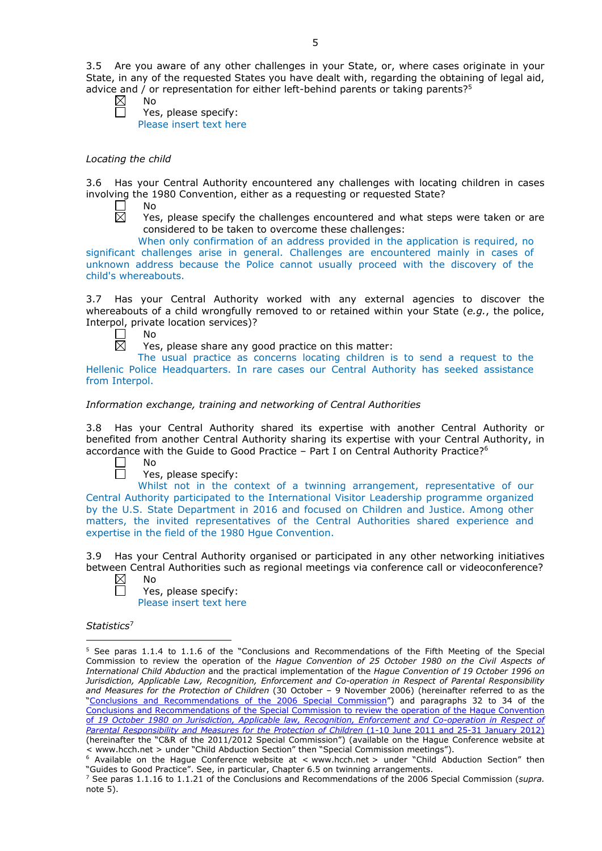3.5 Are you aware of any other challenges in your State, or, where cases originate in your State, in any of the requested States you have dealt with, regarding the obtaining of legal aid, advice and / or representation for either left-behind parents or taking parents?<sup>5</sup>

No

Yes, please specify: Please insert text here

### *Locating the child*

3.6 Has your Central Authority encountered any challenges with locating children in cases involving the 1980 Convention, either as a requesting or requested State?

 $\Box$ No  $\overline{\boxtimes}$ 

Yes, please specify the challenges encountered and what steps were taken or are considered to be taken to overcome these challenges:

When only confirmation of an address provided in the application is required, no significant challenges arise in general. Challenges are encountered mainly in cases of unknown address because the Police cannot usually proceed with the discovery of the child's whereabouts.

3.7 Has your Central Authority worked with any external agencies to discover the whereabouts of a child wrongfully removed to or retained within your State (*e.g.*, the police, Interpol, private location services)?

No 岗

Yes, please share any good practice on this matter:

The usual practice as concerns locating children is to send a request to the Hellenic Police Headquarters. In rare cases our Central Authority has seeked assistance from Interpol.

# *Information exchange, training and networking of Central Authorities*

3.8 Has your Central Authority shared its expertise with another Central Authority or benefited from another Central Authority sharing its expertise with your Central Authority, in accordance with the Guide to Good Practice - Part I on Central Authority Practice?<sup>6</sup>

No

Yes, please specify:

Whilst not in the context of a twinning arrangement, representative of our Central Authority participated to the International Visitor Leadership programme organized by the U.S. State Department in 2016 and focused on Children and Justice. Among other matters, the invited representatives of the Central Authorities shared experience and expertise in the field of the 1980 Hgue Convention.

3.9 Has your Central Authority organised or participated in any other networking initiatives between Central Authorities such as regional meetings via conference call or videoconference? No

 $\boxtimes$  $\Box$ 

Yes, please specify: Please insert text here

*Statistics*<sup>7</sup>

<u>.</u>

<sup>5</sup> See paras 1.1.4 to 1.1.6 of the "Conclusions and Recommendations of the Fifth Meeting of the Special Commission to review the operation of the *Hague Convention of 25 October 1980 on the Civil Aspects of International Child Abduction* and the practical implementation of the *Hague Convention of 19 October 1996 on Jurisdiction, Applicable Law, Recognition, Enforcement and Co-operation in Respect of Parental Responsibility and Measures for the Protection of Children* (30 October – 9 November 2006) (hereinafter referred to as the ["Conclusions and Recommendations of the 2006 Special Commission"](https://assets.hcch.net/upload/concl28sc5_e.pdf)) and paragraphs 32 to 34 of the [Conclusions and Recommendations of the Special Commission](https://assets.hcch.net/upload/wop/concl28sc6_e.pdf) to review the operation of the Hague Convention of *[19 October 1980 on Jurisdiction, Applicable law, Recognition, Enforcement and Co-operation in Respect of](https://assets.hcch.net/upload/wop/concl28sc6_e.pdf)  [Parental Responsibility and Measures for the Protection of Children](https://assets.hcch.net/upload/wop/concl28sc6_e.pdf)* (1-10 June 2011 and 25-31 January 2012) (hereinafter the "C&R of the 2011/2012 Special Commission") (available on the Hague Conference website at

Modiable on the Hague Conference website at < www.hcch.net > under "Child Abduction Section" then "Guides to Good Practice". See, in particular, Chapter 6.5 on twinning arrangements.

<sup>7</sup> See paras 1.1.16 to 1.1.21 of the Conclusions and Recommendations of the 2006 Special Commission (*supra.*  note  $5$ ).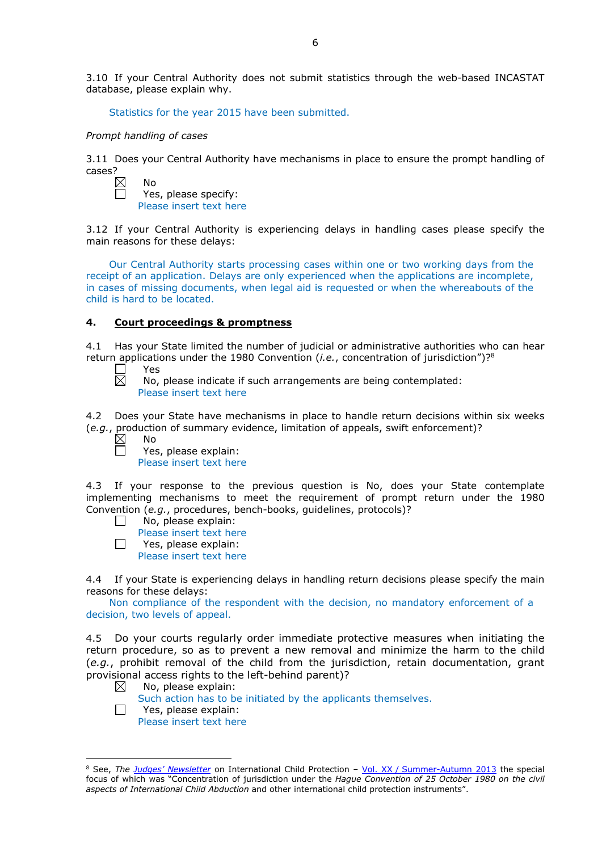3.10 If your Central Authority does not submit statistics through the web-based INCASTAT database, please explain why.

Statistics for the year 2015 have been submitted.

#### *Prompt handling of cases*

3.11 Does your Central Authority have mechanisms in place to ensure the prompt handling of cases?<br> $\boxtimes$ 

No Yes, please specify: Please insert text here

3.12 If your Central Authority is experiencing delays in handling cases please specify the main reasons for these delays:

Our Central Authority starts processing cases within one or two working days from the receipt of an application. Delays are only experienced when the applications are incomplete, in cases of missing documents, when legal aid is requested or when the whereabouts of the child is hard to be located.

### **4. Court proceedings & promptness**

4.1 Has your State limited the number of judicial or administrative authorities who can hear return applications under the 1980 Convention (*i.e.*, concentration of jurisdiction")?<sup>8</sup><br>  $\square$  Yes<br>  $\square$  No. please indicate if such arrangements are being contemplated:

Yes

No, please indicate if such arrangements are being contemplated: Please insert text here

4.2 Does your State have mechanisms in place to handle return decisions within six weeks (*e.g.*, production of summary evidence, limitation of appeals, swift enforcement)?

 $\boxtimes$ No  $\Box$ 

Yes, please explain: Please insert text here

4.3 If your response to the previous question is No, does your State contemplate implementing mechanisms to meet the requirement of prompt return under the 1980 Convention (*e.g.*, procedures, bench-books, guidelines, protocols)?

 $\Box$ No, please explain:

Please insert text here  $\Box$ Yes, please explain: Please insert text here

4.4 If your State is experiencing delays in handling return decisions please specify the main reasons for these delays:

Non compliance of the respondent with the decision, no mandatory enforcement of a decision, two levels of appeal.

4.5 Do your courts regularly order immediate protective measures when initiating the return procedure, so as to prevent a new removal and minimize the harm to the child (*e.g.*, prohibit removal of the child from the jurisdiction, retain documentation, grant provisional access rights to the left-behind parent)?

- No, please explain:  $\boxtimes$ Such action has to be initiated by the applicants themselves.
- $\Box$ Yes, please explain: Please insert text here

-

<sup>8</sup> See, *The [Judges' Newsletter](https://www.hcch.net/en/instruments/conventions/publications2/judges-newsletter)* on International Child Protection – Vol. XX / [Summer-Autumn 2013](https://assets.hcch.net/upload/newsletter/nl2013tome20en.pdf) the special focus of which was "Concentration of jurisdiction under the *Hague Convention of 25 October 1980 on the civil aspects of International Child Abduction* and other international child protection instruments".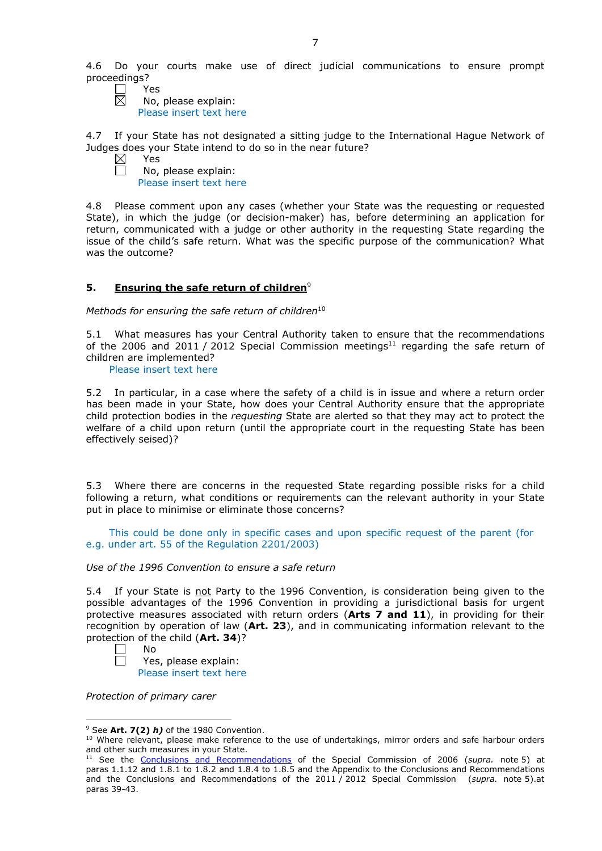4.6 Do your courts make use of direct judicial communications to ensure prompt proceedings?<br> $P \cap P$ 

Yes  $\bar{\boxtimes}$ 

No, please explain: Please insert text here

4.7 If your State has not designated a sitting judge to the International Hague Network of Judges does your State intend to do so in the near future?

 $\boxtimes$ Yes  $\Box$ 

No, please explain: Please insert text here

4.8 Please comment upon any cases (whether your State was the requesting or requested State), in which the judge (or decision-maker) has, before determining an application for return, communicated with a judge or other authority in the requesting State regarding the issue of the child's safe return. What was the specific purpose of the communication? What was the outcome?

# **5. Ensuring the safe return of children**<sup>9</sup>

*Methods for ensuring the safe return of children*<sup>10</sup>

5.1 What measures has your Central Authority taken to ensure that the recommendations of the 2006 and 2011 / 2012 Special Commission meetings<sup>11</sup> regarding the safe return of children are implemented?

Please insert text here

5.2 In particular, in a case where the safety of a child is in issue and where a return order has been made in your State, how does your Central Authority ensure that the appropriate child protection bodies in the *requesting* State are alerted so that they may act to protect the welfare of a child upon return (until the appropriate court in the requesting State has been effectively seised)?

5.3 Where there are concerns in the requested State regarding possible risks for a child following a return, what conditions or requirements can the relevant authority in your State put in place to minimise or eliminate those concerns?

This could be done only in specific cases and upon specific request of the parent (for e.g. under art. 55 of the Regulation 2201/2003)

*Use of the 1996 Convention to ensure a safe return*

5.4 If your State is not Party to the 1996 Convention, is consideration being given to the possible advantages of the 1996 Convention in providing a jurisdictional basis for urgent protective measures associated with return orders (**Arts 7 and 11**), in providing for their recognition by operation of law (**Art. 23**), and in communicating information relevant to the protection of the child (**Art. 34**)?

Yes, please explain:

Please insert text here

*Protection of primary carer*

No

<sup>&</sup>lt;u>.</u> <sup>9</sup> See **Art. 7(2)** *h)* of the 1980 Convention.

<sup>&</sup>lt;sup>10</sup> Where relevant, please make reference to the use of undertakings, mirror orders and safe harbour orders and other such measures in your State.

<sup>11</sup> See the [Conclusions and Recommendations](https://assets.hcch.net/upload/concl28sc5_e.pdf) of the Special Commission of 2006 (*supra.* note 5) at paras 1.1.12 and 1.8.1 to 1.8.2 and 1.8.4 to 1.8.5 and the Appendix to the Conclusions and Recommendations and the [Conclusions and Recommendations of the 2011](https://assets.hcch.net/upload/wop/concl28sc6_e.pdf) / 2012 Special Commission (*supra.* note 5).at paras 39-43.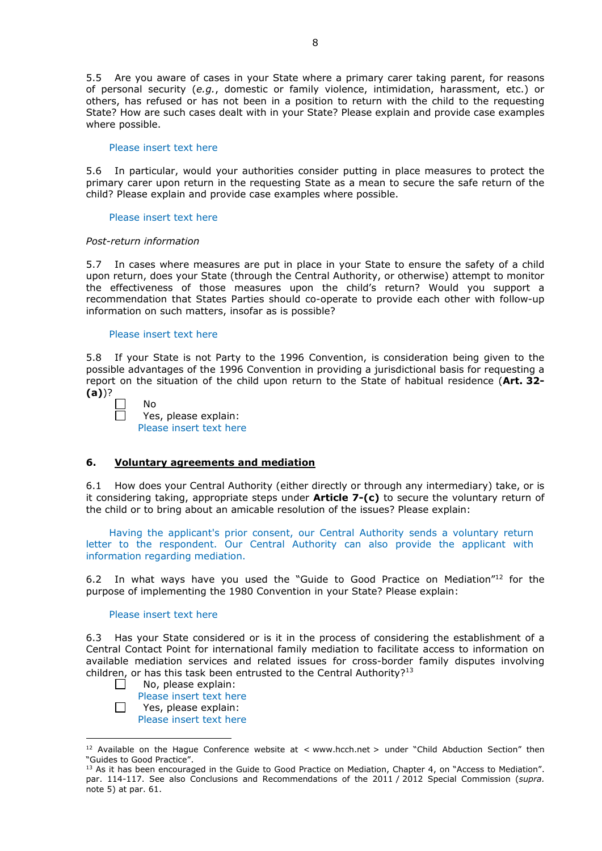5.5 Are you aware of cases in your State where a primary carer taking parent, for reasons of personal security (*e.g.*, domestic or family violence, intimidation, harassment, etc.) or others, has refused or has not been in a position to return with the child to the requesting State? How are such cases dealt with in your State? Please explain and provide case examples where possible.

#### Please insert text here

5.6 In particular, would your authorities consider putting in place measures to protect the primary carer upon return in the requesting State as a mean to secure the safe return of the child? Please explain and provide case examples where possible.

#### Please insert text here

# *Post-return information*

5.7 In cases where measures are put in place in your State to ensure the safety of a child upon return, does your State (through the Central Authority, or otherwise) attempt to monitor the effectiveness of those measures upon the child's return? Would you support a recommendation that States Parties should co-operate to provide each other with follow-up information on such matters, insofar as is possible?

#### Please insert text here

No

5.8 If your State is not Party to the 1996 Convention, is consideration being given to the possible advantages of the 1996 Convention in providing a jurisdictional basis for requesting a report on the situation of the child upon return to the State of habitual residence (**Art. 32- (a)**)?

| J<br>ı | ÷<br>٠ |  |
|--------|--------|--|
|        |        |  |
|        |        |  |
|        |        |  |
|        |        |  |

-

Yes, please explain: Please insert text here

#### **6. Voluntary agreements and mediation**

6.1 How does your Central Authority (either directly or through any intermediary) take, or is it considering taking, appropriate steps under **Article 7-(c)** to secure the voluntary return of the child or to bring about an amicable resolution of the issues? Please explain:

Having the applicant's prior consent, our Central Authority sends a voluntary return letter to the respondent. Our Central Authority can also provide the applicant with information regarding mediation.

6.2 In what ways have you used the "Guide to Good Practice on Mediation"12 for the purpose of implementing the 1980 Convention in your State? Please explain:

#### Please insert text here

6.3 Has your State considered or is it in the process of considering the establishment of a Central Contact Point for international family mediation to facilitate access to information on available mediation services and related issues for cross-border family disputes involving children, or has this task been entrusted to the Central Authority?<sup>13</sup>

- $\Box$ No, please explain: Please insert text here
- $\Box$ Yes, please explain: Please insert text here

<sup>&</sup>lt;sup>12</sup> Available on the Hague Conference website at < www.hcch.net > under "Child Abduction Section" then "Guides to Good Practice".

<sup>&</sup>lt;sup>13</sup> As it has been encouraged in the Guide to Good Practice on Mediation, Chapter 4, on "Access to Mediation". par. 114-117. See also [Conclusions and Recommendations of the 2011](https://assets.hcch.net/upload/wop/concl28sc6_e.pdf) / 2012 Special Commission (*supra.* note 5) at par. 61.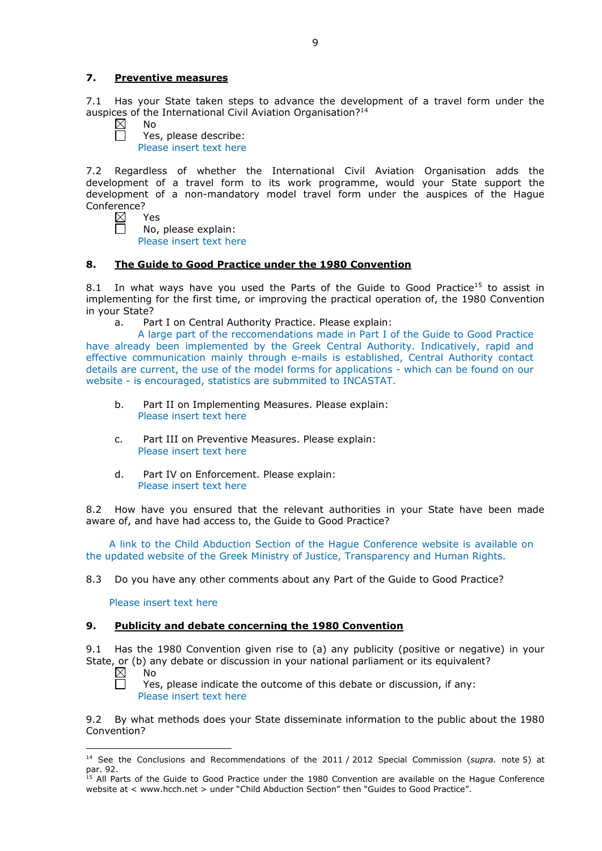# **7. Preventive measures**

7.1 Has your State taken steps to advance the development of a travel form under the auspices of the International Civil Aviation Organisation?<sup>14</sup><br>  $\boxtimes$  No

No Ħ

Yes, please describe: Please insert text here

7.2 Regardless of whether the International Civil Aviation Organisation adds the development of a travel form to its work programme, would your State support the development of a non-mandatory model travel form under the auspices of the Hague Conference?

| ⊠ | Y<br>ρς |  |
|---|---------|--|
|   | No      |  |

No, please explain: Please insert text here

# **8. The Guide to Good Practice under the 1980 Convention**

8.1 In what ways have you used the Parts of the Guide to Good Practice<sup>15</sup> to assist in implementing for the first time, or improving the practical operation of, the 1980 Convention in your State?

a. Part I on Central Authority Practice. Please explain:

A large part of the reccomendations made in Part I of the Guide to Good Practice have already been implemented by the Greek Central Authority. Indicatively, rapid and effective communication mainly through e-mails is established, Central Authority contact details are current, the use of the model forms for applications - which can be found on our website - is encouraged, statistics are submmited to INCASTAT.

- b. Part II on Implementing Measures. Please explain: Please insert text here
- c. Part III on Preventive Measures. Please explain: Please insert text here
- d. Part IV on Enforcement. Please explain: Please insert text here

8.2 How have you ensured that the relevant authorities in your State have been made aware of, and have had access to, the Guide to Good Practice?

A link to the Child Abduction Section of the Hague Conference website is available on the updated website of the Greek Ministry of Justice, Transparency and Human Rights.

8.3 Do you have any other comments about any Part of the Guide to Good Practice?

Please insert text here

### **9. Publicity and debate concerning the 1980 Convention**

9.1 Has the 1980 Convention given rise to (a) any publicity (positive or negative) in your State, or (b) any debate or discussion in your national parliament or its equivalent?

 $\boxtimes$ No

 $\Box$ 

-

Yes, please indicate the outcome of this debate or discussion, if any: Please insert text here

9.2 By what methods does your State disseminate information to the public about the 1980 Convention?

<sup>14</sup> See the [Conclusions and Recommendations of the 2011](https://assets.hcch.net/upload/wop/concl28sc6_e.pdf) / 2012 Special Commission (*supra.* note 5) at par. 92.

<sup>&</sup>lt;sup>15</sup> All Parts of the Guide to Good Practice under the 1980 Convention are available on the Hague Conference website at < www.hcch.net > under "Child Abduction Section" then "Guides to Good Practice".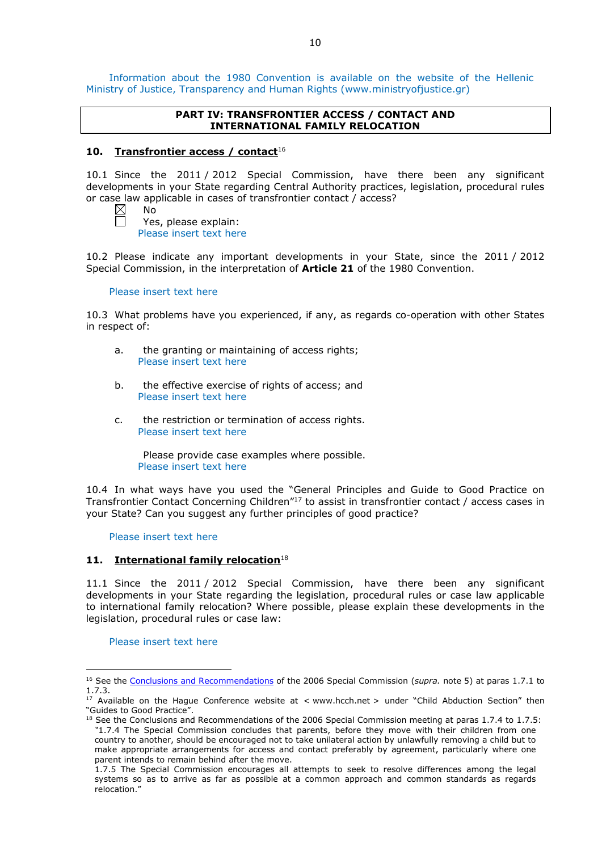Information about the 1980 Convention is available on the website of the Hellenic Ministry of Justice, Transparency and Human Rights (www.ministryofjustice.gr)

### **PART IV: TRANSFRONTIER ACCESS / CONTACT AND INTERNATIONAL FAMILY RELOCATION**

# **10. Transfrontier access / contact**<sup>16</sup>

10.1 Since the 2011 / 2012 Special Commission, have there been any significant developments in your State regarding Central Authority practices, legislation, procedural rules or case law applicable in cases of transfrontier contact / access?

| $\boxtimes$ | N٥ |
|-------------|----|
|             |    |

 $\Box$ 

Yes, please explain: Please insert text here

10.2 Please indicate any important developments in your State, since the 2011 / 2012 Special Commission, in the interpretation of **Article 21** of the 1980 Convention.

#### Please insert text here

10.3 What problems have you experienced, if any, as regards co-operation with other States in respect of:

- a. the granting or maintaining of access rights; Please insert text here
- b. the effective exercise of rights of access; and Please insert text here
- c. the restriction or termination of access rights. Please insert text here

Please provide case examples where possible. Please insert text here

10.4 In what ways have you used the "General Principles and Guide to Good Practice on Transfrontier Contact Concerning Children"17 to assist in transfrontier contact / access cases in your State? Can you suggest any further principles of good practice?

Please insert text here

# 11. **International family relocation**<sup>18</sup>

11.1 Since the 2011 / 2012 Special Commission, have there been any significant developments in your State regarding the legislation, procedural rules or case law applicable to international family relocation? Where possible, please explain these developments in the legislation, procedural rules or case law:

Please insert text here

<u>.</u>

<sup>16</sup> See the [Conclusions and Recommendations](https://assets.hcch.net/upload/concl28sc5_e.pdf) of the 2006 Special Commission (*supra.* note 5) at paras 1.7.1 to 1.7.3.

<sup>&</sup>lt;sup>17</sup> Available on the Hague Conference website at < www.hcch.net > under "Child Abduction Section" then "Guides to Good Practice".

<sup>&</sup>lt;sup>18</sup> See the Conclusions and Recommendations of the 2006 Special Commission meeting at paras 1.7.4 to 1.7.5: *"*1.7.4 The Special Commission concludes that parents, before they move with their children from one country to another, should be encouraged not to take unilateral action by unlawfully removing a child but to make appropriate arrangements for access and contact preferably by agreement, particularly where one parent intends to remain behind after the move.

<sup>1.7.5</sup> The Special Commission encourages all attempts to seek to resolve differences among the legal systems so as to arrive as far as possible at a common approach and common standards as regards relocation."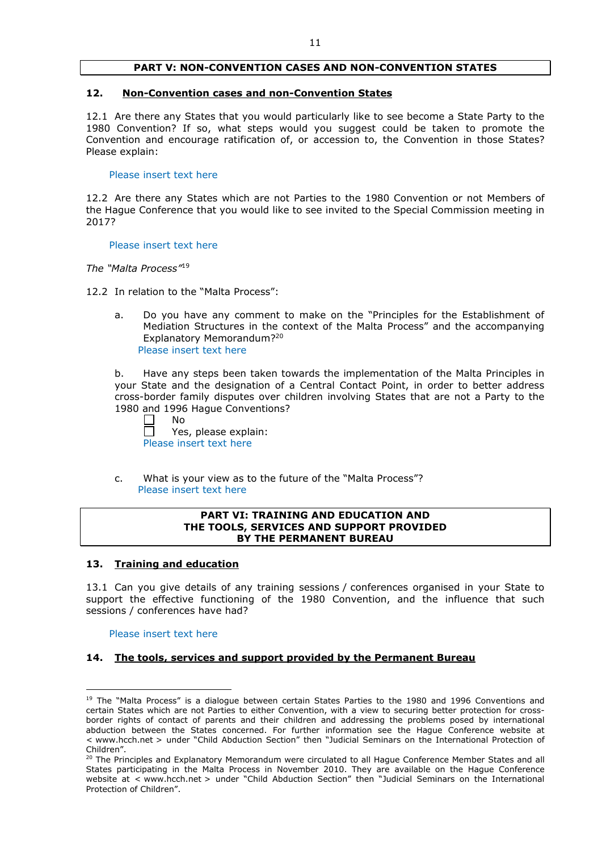### **PART V: NON-CONVENTION CASES AND NON-CONVENTION STATES**

#### **12. Non-Convention cases and non-Convention States**

12.1 Are there any States that you would particularly like to see become a State Party to the 1980 Convention? If so, what steps would you suggest could be taken to promote the Convention and encourage ratification of, or accession to, the Convention in those States? Please explain:

#### Please insert text here

12.2 Are there any States which are not Parties to the 1980 Convention or not Members of the Hague Conference that you would like to see invited to the Special Commission meeting in 2017?

#### Please insert text here

*The "Malta Process"*<sup>19</sup>

12.2 In relation to the "Malta Process":

a. Do you have any comment to make on the "Principles for the Establishment of Mediation Structures in the context of the Malta Process" and the accompanying Explanatory Memorandum?20 Please insert text here

b. Have any steps been taken towards the implementation of the Malta Principles in your State and the designation of a Central Contact Point, in order to better address cross-border family disputes over children involving States that are not a Party to the 1980 and 1996 Hague Conventions?

No

Yes, please explain: Please insert text here

c. What is your view as to the future of the "Malta Process"? Please insert text here

### **PART VI: TRAINING AND EDUCATION AND THE TOOLS, SERVICES AND SUPPORT PROVIDED BY THE PERMANENT BUREAU**

### **13. Training and education**

13.1 Can you give details of any training sessions / conferences organised in your State to support the effective functioning of the 1980 Convention, and the influence that such sessions / conferences have had?

Please insert text here

<u>.</u>

### **14. The tools, services and support provided by the Permanent Bureau**

<sup>&</sup>lt;sup>19</sup> The "Malta Process" is a dialogue between certain States Parties to the 1980 and 1996 Conventions and certain States which are not Parties to either Convention, with a view to securing better protection for crossborder rights of contact of parents and their children and addressing the problems posed by international abduction between the States concerned. For further information see the Hague Conference website at < www.hcch.net > under "Child Abduction Section" then "Judicial Seminars on the International Protection of Children".

<sup>20</sup> The Principles and Explanatory Memorandum were circulated to all Hague Conference Member States and all States participating in the Malta Process in November 2010. They are available on the Hague Conference website at < www.hcch.net > under "Child Abduction Section" then "Judicial Seminars on the International Protection of Children".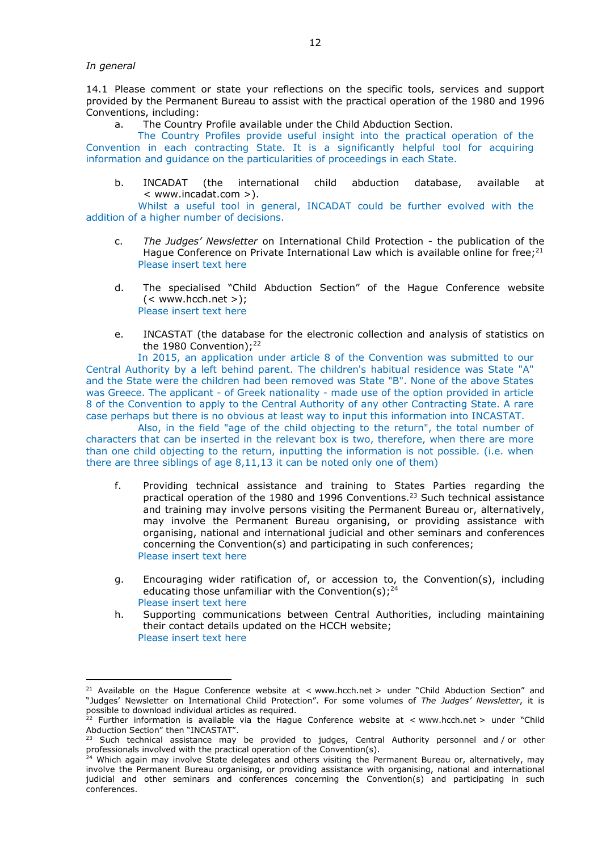*In general*

<u>.</u>

14.1 Please comment or state your reflections on the specific tools, services and support provided by the Permanent Bureau to assist with the practical operation of the 1980 and 1996 Conventions, including:

a. The Country Profile available under the Child Abduction Section.

The Country Profiles provide useful insight into the practical operation of the Convention in each contracting State. It is a significantly helpful tool for acquiring information and guidance on the particularities of proceedings in each State.

b. INCADAT (the international child abduction database, available at < www.incadat.com >).

Whilst a useful tool in general, INCADAT could be further evolved with the addition of a higher number of decisions.

- c. *The Judges' Newsletter* on International Child Protection the publication of the Hague Conference on Private International Law which is available online for free; $21$ Please insert text here
- d. The specialised "Child Abduction Section" of the Hague Conference website  $(<$  www.hcch.net >); Please insert text here
- e. INCASTAT (the database for the electronic collection and analysis of statistics on the 1980 Convention); $^{22}$

In 2015, an application under article 8 of the Convention was submitted to our Central Authority by a left behind parent. The children's habitual residence was State "A" and the State were the children had been removed was State "B". None of the above States was Greece. The applicant - of Greek nationality - made use of the option provided in article 8 of the Convention to apply to the Central Authority of any other Contracting State. A rare case perhaps but there is no obvious at least way to input this information into INCASTAT.

Also, in the field "age of the child objecting to the return", the total number of characters that can be inserted in the relevant box is two, therefore, when there are more than one child objecting to the return, inputting the information is not possible. (i.e. when there are three siblings of age  $8.11.13$  it can be noted only one of them)

- f. Providing technical assistance and training to States Parties regarding the practical operation of the 1980 and 1996 Conventions.23 Such technical assistance and training may involve persons visiting the Permanent Bureau or, alternatively, may involve the Permanent Bureau organising, or providing assistance with organising, national and international judicial and other seminars and conferences concerning the Convention(s) and participating in such conferences; Please insert text here
- g. Encouraging wider ratification of, or accession to, the Convention(s), including educating those unfamiliar with the Convention(s);<sup>24</sup> Please insert text here
- h. Supporting communications between Central Authorities, including maintaining their contact details updated on the HCCH website; Please insert text here

<sup>&</sup>lt;sup>21</sup> Available on the Hague Conference website at < www.hcch.net > under "Child Abduction Section" and "Judges' Newsletter on International Child Protection". For some volumes of *The Judges' Newsletter*, it is possible to download individual articles as required.

<sup>&</sup>lt;sup>22</sup> Further information is available via the Hague Conference website at  $\lt$  www.hcch.net  $>$  under "Child Abduction Section" then "INCASTAT".

 $^{23}$  Such technical assistance may be provided to judges, Central Authority personnel and / or other professionals involved with the practical operation of the Convention(s).

<sup>&</sup>lt;sup>24</sup> Which again may involve State delegates and others visiting the Permanent Bureau or, alternatively, may involve the Permanent Bureau organising, or providing assistance with organising, national and international judicial and other seminars and conferences concerning the Convention(s) and participating in such conferences.